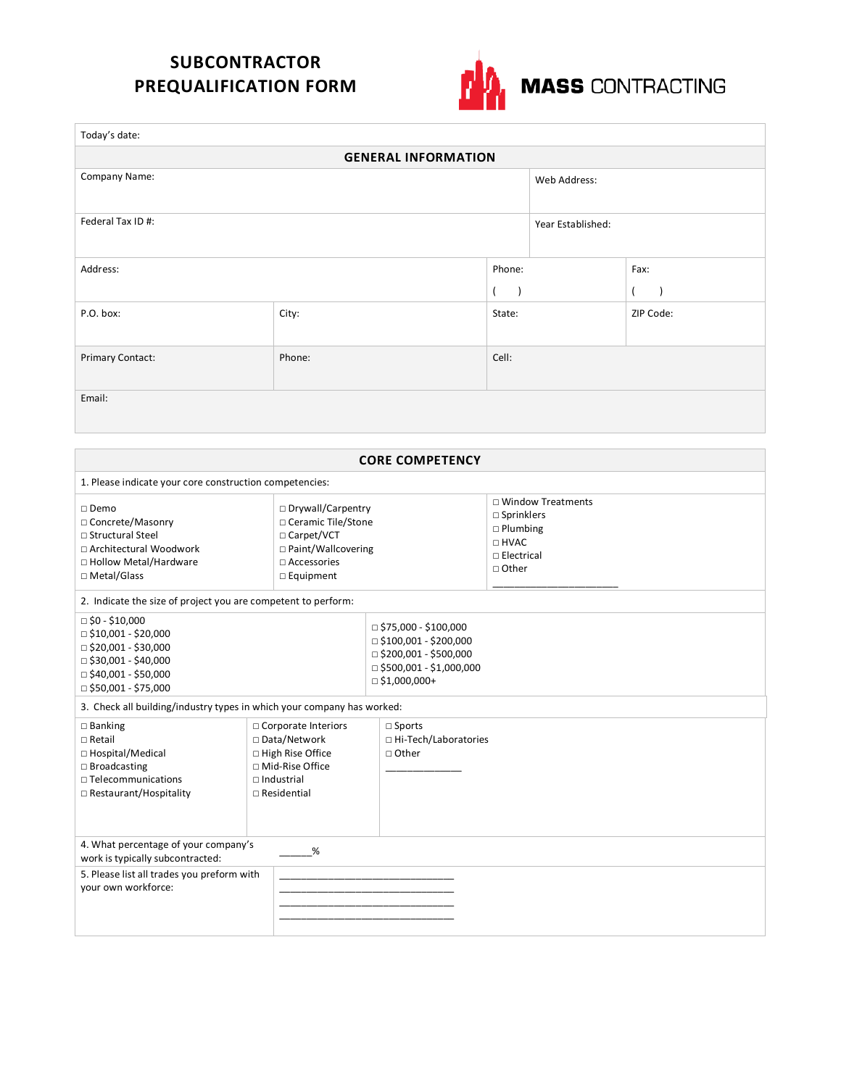## **SUBCONTRACTOR PREQUALIFICATION FORM**



| Today's date:              |        |           |                   |              |  |  |
|----------------------------|--------|-----------|-------------------|--------------|--|--|
| <b>GENERAL INFORMATION</b> |        |           |                   |              |  |  |
| Company Name:              |        |           | Web Address:      |              |  |  |
| Federal Tax ID #:          |        |           | Year Established: |              |  |  |
| Address:                   |        | Phone:    |                   | Fax:         |  |  |
|                            |        | $\lambda$ |                   | $\mathbf{L}$ |  |  |
| P.O. box:                  | City:  | State:    |                   | ZIP Code:    |  |  |
| Primary Contact:           | Phone: | Cell:     |                   |              |  |  |
| Email:                     |        |           |                   |              |  |  |

| <b>CORE COMPETENCY</b>                                                                                                                                                                                                                                              |                                                                                                                               |                                                                                                                                                      |                                                                                                                      |  |  |  |
|---------------------------------------------------------------------------------------------------------------------------------------------------------------------------------------------------------------------------------------------------------------------|-------------------------------------------------------------------------------------------------------------------------------|------------------------------------------------------------------------------------------------------------------------------------------------------|----------------------------------------------------------------------------------------------------------------------|--|--|--|
| 1. Please indicate your core construction competencies:                                                                                                                                                                                                             |                                                                                                                               |                                                                                                                                                      |                                                                                                                      |  |  |  |
| □ Drywall/Carpentry<br>$\square$ Demo<br>□ Ceramic Tile/Stone<br>□ Concrete/Masonry<br>□ Structural Steel<br>□ Carpet/VCT<br>□ Paint/Wallcovering<br>□ Architectural Woodwork<br>□ Hollow Metal/Hardware<br>$\Box$ Accessories<br>□ Metal/Glass<br>$\Box$ Equipment |                                                                                                                               |                                                                                                                                                      | $\Box$ Window Treatments<br>$\square$ Sprinklers<br>$\Box$ Plumbing<br>□ HVAC<br>$\Box$ Electrical<br>$\sqcap$ Other |  |  |  |
| 2. Indicate the size of project you are competent to perform:                                                                                                                                                                                                       |                                                                                                                               |                                                                                                                                                      |                                                                                                                      |  |  |  |
| $\Box$ \$0 - \$10,000<br>$\Box$ \$10,001 - \$20,000<br>$\Box$ \$20,001 - \$30,000<br>$\Box$ \$30,001 - \$40,000<br>$\Box$ \$40,001 - \$50,000<br>$\Box$ \$50,001 - \$75,000                                                                                         |                                                                                                                               | $\Box$ \$75,000 - \$100,000<br>$\Box$ \$100,001 - \$200,000<br>$\Box$ \$200,001 - \$500,000<br>$\Box$ \$500,001 - \$1,000,000<br>$\Box$ \$1,000,000+ |                                                                                                                      |  |  |  |
| 3. Check all building/industry types in which your company has worked:                                                                                                                                                                                              |                                                                                                                               |                                                                                                                                                      |                                                                                                                      |  |  |  |
| $\square$ Banking<br>$\Box$ Retail<br>□ Hospital/Medical<br>$\Box$ Broadcasting<br>$\Box$ Telecommunications<br>$\Box$ Restaurant/Hospitality                                                                                                                       | □ Corporate Interiors<br>□ Data/Network<br>□ High Rise Office<br>□ Mid-Rise Office<br>$\Box$ Industrial<br>$\Box$ Residential | $\square$ Sports<br>□ Hi-Tech/Laboratories<br>□ Other                                                                                                |                                                                                                                      |  |  |  |
| 4. What percentage of your company's<br>%<br>work is typically subcontracted:                                                                                                                                                                                       |                                                                                                                               |                                                                                                                                                      |                                                                                                                      |  |  |  |
| 5. Please list all trades you preform with<br>your own workforce:                                                                                                                                                                                                   |                                                                                                                               |                                                                                                                                                      |                                                                                                                      |  |  |  |